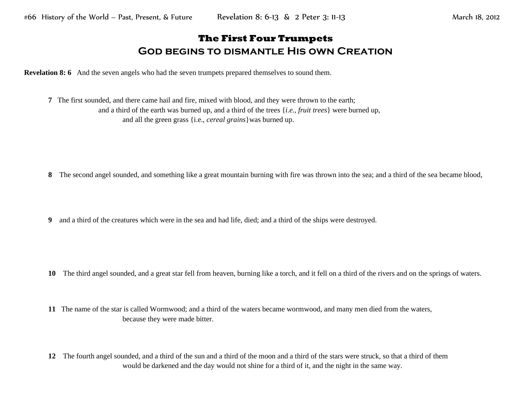## **The First Four Trumpets God begins to dismantle His own Creation**

**Revelation 8: 6** And the seven angels who had the seven trumpets prepared themselves to sound them.

**7** The first sounded, and there came hail and fire, mixed with blood, and they were thrown to the earth; and a third of the earth was burned up, and a third of the trees {*i.e., fruit trees*} were burned up, and all the green grass {i.e., *cereal grains*}was burned up.

- **8** The second angel sounded, and something like a great mountain burning with fire was thrown into the sea; and a third of the sea became blood,
- **9** and a third of the creatures which were in the sea and had life, died; and a third of the ships were destroyed.

- **10** The third angel sounded, and a great star fell from heaven, burning like a torch, and it fell on a third of the rivers and on the springs of waters.
- **11** The name of the star is called Wormwood; and a third of the waters became wormwood, and many men died from the waters, because they were made bitter.
- **12** The fourth angel sounded, and a third of the sun and a third of the moon and a third of the stars were struck, so that a third of them would be darkened and the day would not shine for a third of it, and the night in the same way.